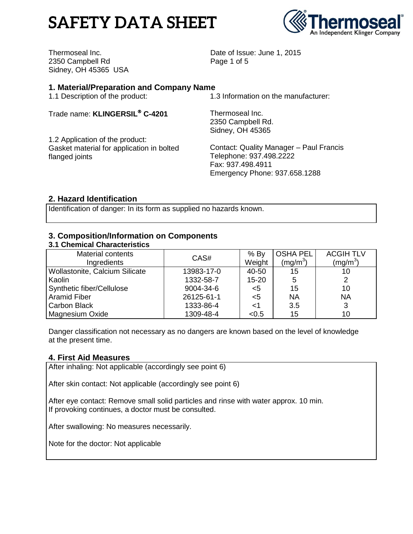# **SAFETY DATA SHEET**



Thermoseal Inc. 2350 Campbell Rd Sidney, OH 45365 USA Date of Issue: June 1, 2015 Page 1 of 5

## **1. Material/Preparation and Company Name**

1.1 Description of the product:

Trade name: **KLINGERSIL C-4201**

1.2 Application of the product: Gasket material for application in bolted flanged joints

1.3 Information on the manufacturer:

Thermoseal Inc. 2350 Campbell Rd. Sidney, OH 45365

Contact: Quality Manager – Paul Francis Telephone: 937.498.2222 Fax: 937.498.4911 Emergency Phone: 937.658.1288

## **2. Hazard Identification**

Identification of danger: In its form as supplied no hazards known.

#### **3. Composition/Information on Components 3.1 Chemical Characteristics**

| <u>o. Londinoui onuidolonicu</u> |            |           |                 |                  |
|----------------------------------|------------|-----------|-----------------|------------------|
| <b>Material contents</b>         | CAS#       | $%$ By    | <b>OSHA PEL</b> | <b>ACGIH TLV</b> |
| Ingredients                      |            | Weight    | $(mq/m^3)$      | (mg/m $^3$ )     |
| Wollastonite, Calcium Silicate   | 13983-17-0 | 40-50     | 15              | 10               |
| l Kaolin                         | 1332-58-7  | $15 - 20$ | 5               | 2                |
| Synthetic fiber/Cellulose        | 9004-34-6  | $<$ 5     | 15              | 10               |
| Aramid Fiber                     | 26125-61-1 | $<$ 5     | <b>NA</b>       | <b>NA</b>        |
| Carbon Black                     | 1333-86-4  |           | 3.5             | 3                |
| Magnesium Oxide                  | 1309-48-4  | < 0.5     | 15              | 10               |

Danger classification not necessary as no dangers are known based on the level of knowledge at the present time.

## **4. First Aid Measures**

After inhaling: Not applicable (accordingly see point 6)

After skin contact: Not applicable (accordingly see point 6)

After eye contact: Remove small solid particles and rinse with water approx. 10 min. If provoking continues, a doctor must be consulted.

After swallowing: No measures necessarily.

Note for the doctor: Not applicable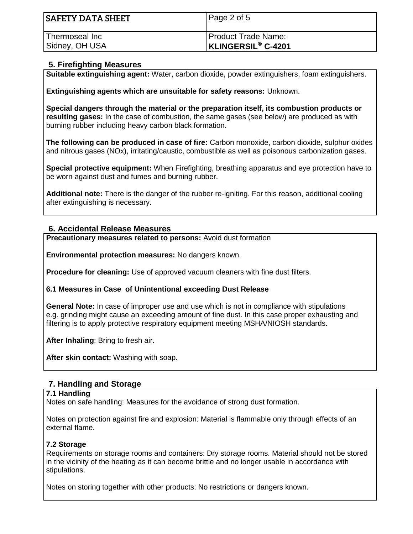| <b>SAFETY DATA SHEET</b> | Page 2 of 5               |
|--------------------------|---------------------------|
| Thermoseal Inc           | Product Trade Name:       |
| Sidney, OH USA           | <b>KLINGERSIL® C-4201</b> |

## **5. Firefighting Measures**

**Suitable extinguishing agent:** Water, carbon dioxide, powder extinguishers, foam extinguishers.

**Extinguishing agents which are unsuitable for safety reasons:** Unknown.

**Special dangers through the material or the preparation itself, its combustion products or resulting gases:** In the case of combustion, the same gases (see below) are produced as with burning rubber including heavy carbon black formation.

**The following can be produced in case of fire:** Carbon monoxide, carbon dioxide, sulphur oxides and nitrous gases (NOx), irritating/caustic, combustible as well as poisonous carbonization gases.

**Special protective equipment:** When Firefighting, breathing apparatus and eye protection have to be worn against dust and fumes and burning rubber.

**Additional note:** There is the danger of the rubber re-igniting. For this reason, additional cooling after extinguishing is necessary.

## **6. Accidental Release Measures**

**Precautionary measures related to persons:** Avoid dust formation

**Environmental protection measures:** No dangers known.

**Procedure for cleaning:** Use of approved vacuum cleaners with fine dust filters.

**6.1 Measures in Case of Unintentional exceeding Dust Release**

**General Note:** In case of improper use and use which is not in compliance with stipulations e.g. grinding might cause an exceeding amount of fine dust. In this case proper exhausting and filtering is to apply protective respiratory equipment meeting MSHA/NIOSH standards.

**After Inhaling**: Bring to fresh air.

**After skin contact:** Washing with soap.

## **7. Handling and Storage**

## **7.1 Handling**

Notes on safe handling: Measures for the avoidance of strong dust formation.

Notes on protection against fire and explosion: Material is flammable only through effects of an external flame.

## **7.2 Storage**

Requirements on storage rooms and containers: Dry storage rooms. Material should not be stored in the vicinity of the heating as it can become brittle and no longer usable in accordance with stipulations.

Notes on storing together with other products: No restrictions or dangers known.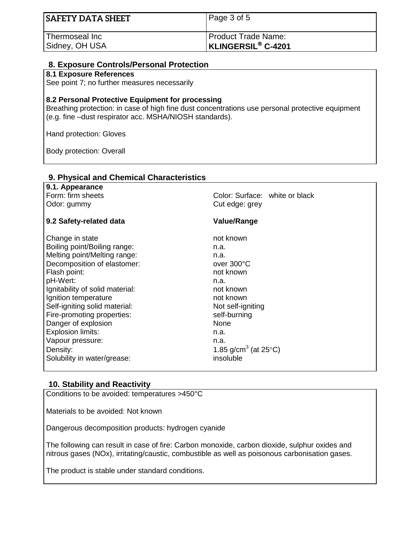| <b>SAFETY DATA SHEET</b> | Page 3 of 5               |
|--------------------------|---------------------------|
| Thermoseal Inc           | Product Trade Name:       |
| Sidney, OH USA           | <b>KLINGERSIL® C-4201</b> |

# **8. Exposure Controls/Personal Protection**

#### **8.1 Exposure References**

See point 7; no further measures necessarily

#### **8.2 Personal Protective Equipment for processing**

**9. Physical and Chemical Characteristics**

Breathing protection: in case of high fine dust concentrations use personal protective equipment (e.g. fine –dust respirator acc. MSHA/NIOSH standards).

Hand protection: Gloves

Body protection: Overall

| 9. Filiysidal allu Gilennidal Gharacteristics |                                             |
|-----------------------------------------------|---------------------------------------------|
| 9.1. Appearance                               |                                             |
| Form: firm sheets                             | Color: Surface: white or black              |
| Odor: gummy                                   | Cut edge: grey                              |
| 9.2 Safety-related data                       | <b>Value/Range</b>                          |
| Change in state                               | not known                                   |
| Boiling point/Boiling range:                  | n.a.                                        |
| Melting point/Melting range:                  | n.a.                                        |
| Decomposition of elastomer:                   | over 300°C                                  |
| Flash point:                                  | not known                                   |
| pH-Wert:                                      | n.a.                                        |
| Ignitability of solid material:               | not known                                   |
| Ignition temperature                          | not known                                   |
| Self-igniting solid material:                 | Not self-igniting                           |
| Fire-promoting properties:                    | self-burning                                |
| Danger of explosion                           | None                                        |
| Explosion limits:                             | n.a.                                        |
| Vapour pressure:                              | n.a.                                        |
| Density:                                      | 1.85 g/cm <sup>3</sup> (at 25 $^{\circ}$ C) |
| Solubility in water/grease:                   | insoluble                                   |
|                                               |                                             |

## **10. Stability and Reactivity**

Conditions to be avoided: temperatures >450°C

Materials to be avoided: Not known

Dangerous decomposition products: hydrogen cyanide

The following can result in case of fire: Carbon monoxide, carbon dioxide, sulphur oxides and nitrous gases (NOx), irritating/caustic, combustible as well as poisonous carbonisation gases.

The product is stable under standard conditions.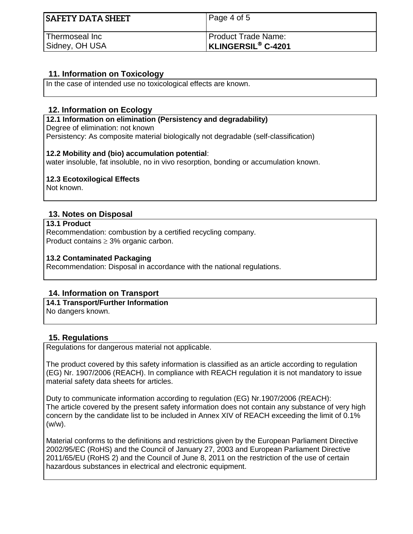| <b>SAFETY DATA SHEET</b> | Page 4 of 5               |
|--------------------------|---------------------------|
| Thermoseal Inc           | Product Trade Name:       |
| Sidney, OH USA           | <b>KLINGERSIL® C-4201</b> |

## **11. Information on Toxicology**

In the case of intended use no toxicological effects are known.

## **12. Information on Ecology**

**12.1 Information on elimination (Persistency and degradability)** Degree of elimination: not known Persistency: As composite material biologically not degradable (self-classification)

## **12.2 Mobility and (bio) accumulation potential**:

water insoluble, fat insoluble, no in vivo resorption, bonding or accumulation known.

## **12.3 Ecotoxilogical Effects**

Not known.

## **13. Notes on Disposal**

#### **13.1 Product**

Recommendation: combustion by a certified recycling company. Product contains  $\geq 3\%$  organic carbon.

#### **13.2 Contaminated Packaging**

Recommendation: Disposal in accordance with the national regulations.

## **14. Information on Transport**

**14.1 Transport/Further Information** No dangers known.

## **15. Regulations**

Regulations for dangerous material not applicable.

The product covered by this safety information is classified as an article according to regulation (EG) Nr. 1907/2006 (REACH). In compliance with REACH regulation it is not mandatory to issue material safety data sheets for articles.

Duty to communicate information according to regulation (EG) Nr.1907/2006 (REACH): The article covered by the present safety information does not contain any substance of very high concern by the candidate list to be included in Annex XIV of REACH exceeding the limit of 0.1% (w/w).

Material conforms to the definitions and restrictions given by the European Parliament Directive 2002/95/EC (RoHS) and the Council of January 27, 2003 and European Parliament Directive 2011/65/EU (RoHS 2) and the Council of June 8, 2011 on the restriction of the use of certain hazardous substances in electrical and electronic equipment.